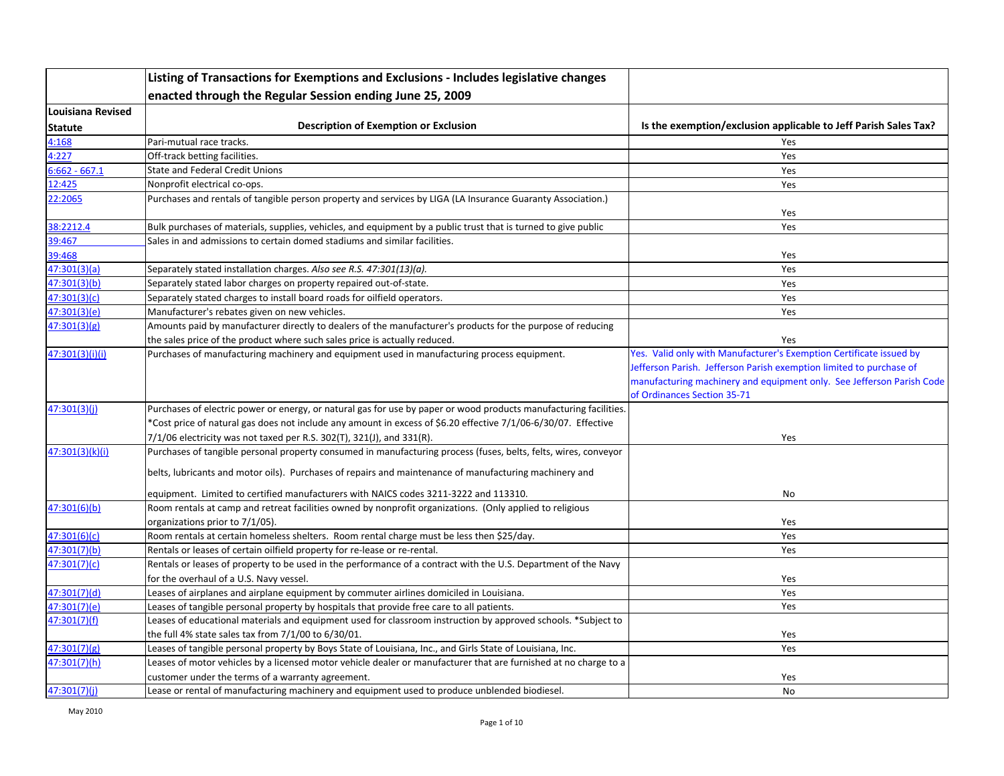|                   | Listing of Transactions for Exemptions and Exclusions - Includes legislative changes                              |                                                                                                                                                                                                                                                    |
|-------------------|-------------------------------------------------------------------------------------------------------------------|----------------------------------------------------------------------------------------------------------------------------------------------------------------------------------------------------------------------------------------------------|
|                   | enacted through the Regular Session ending June 25, 2009                                                          |                                                                                                                                                                                                                                                    |
| Louisiana Revised |                                                                                                                   |                                                                                                                                                                                                                                                    |
| <b>Statute</b>    | <b>Description of Exemption or Exclusion</b>                                                                      | Is the exemption/exclusion applicable to Jeff Parish Sales Tax?                                                                                                                                                                                    |
| 4:168             | Pari-mutual race tracks.                                                                                          | <b>Yes</b>                                                                                                                                                                                                                                         |
| 4:227             | Off-track betting facilities.                                                                                     | Yes                                                                                                                                                                                                                                                |
| $6:662 - 667.1$   | <b>State and Federal Credit Unions</b>                                                                            | Yes                                                                                                                                                                                                                                                |
| 12:425            | Nonprofit electrical co-ops.                                                                                      | Yes                                                                                                                                                                                                                                                |
| 22:2065           | Purchases and rentals of tangible person property and services by LIGA (LA Insurance Guaranty Association.)       | Yes                                                                                                                                                                                                                                                |
| 38:2212.4         | Bulk purchases of materials, supplies, vehicles, and equipment by a public trust that is turned to give public    | Yes                                                                                                                                                                                                                                                |
| 39:467            | Sales in and admissions to certain domed stadiums and similar facilities.                                         |                                                                                                                                                                                                                                                    |
| 39:468            |                                                                                                                   | Yes                                                                                                                                                                                                                                                |
| 47:301(3)(a)      | Separately stated installation charges. Also see R.S. 47:301(13)(a).                                              | Yes                                                                                                                                                                                                                                                |
| 47:301(3)(b)      | Separately stated labor charges on property repaired out-of-state.                                                | Yes                                                                                                                                                                                                                                                |
| 47:301(3)(c)      | Separately stated charges to install board roads for oilfield operators.                                          | Yes                                                                                                                                                                                                                                                |
| 47:301(3)(e)      | Manufacturer's rebates given on new vehicles.                                                                     | Yes                                                                                                                                                                                                                                                |
| 47:301(3)(g)      | Amounts paid by manufacturer directly to dealers of the manufacturer's products for the purpose of reducing       |                                                                                                                                                                                                                                                    |
|                   | the sales price of the product where such sales price is actually reduced.                                        | Yes                                                                                                                                                                                                                                                |
| 47:301(3)(i)(i)   | Purchases of manufacturing machinery and equipment used in manufacturing process equipment.                       | Yes. Valid only with Manufacturer's Exemption Certificate issued by<br>Jefferson Parish. Jefferson Parish exemption limited to purchase of<br>manufacturing machinery and equipment only. See Jefferson Parish Code<br>of Ordinances Section 35-71 |
| 47:301(3)(i)      | Purchases of electric power or energy, or natural gas for use by paper or wood products manufacturing facilities. |                                                                                                                                                                                                                                                    |
|                   | *Cost price of natural gas does not include any amount in excess of \$6.20 effective 7/1/06-6/30/07. Effective    |                                                                                                                                                                                                                                                    |
|                   | $7/1/06$ electricity was not taxed per R.S. 302(T), 321(J), and 331(R).                                           | Yes                                                                                                                                                                                                                                                |
| 47:301(3)(k)(i)   | Purchases of tangible personal property consumed in manufacturing process (fuses, belts, felts, wires, conveyor   |                                                                                                                                                                                                                                                    |
|                   | belts, lubricants and motor oils). Purchases of repairs and maintenance of manufacturing machinery and            |                                                                                                                                                                                                                                                    |
|                   | equipment. Limited to certified manufacturers with NAICS codes 3211-3222 and 113310.                              | No                                                                                                                                                                                                                                                 |
| 47:301(6)(b)      | Room rentals at camp and retreat facilities owned by nonprofit organizations. (Only applied to religious          |                                                                                                                                                                                                                                                    |
|                   | organizations prior to 7/1/05).                                                                                   | Yes                                                                                                                                                                                                                                                |
| 47:301(6)(c)      | Room rentals at certain homeless shelters. Room rental charge must be less then \$25/day.                         | Yes                                                                                                                                                                                                                                                |
| 47:301(7)(b)      | Rentals or leases of certain oilfield property for re-lease or re-rental.                                         | Yes                                                                                                                                                                                                                                                |
| 47:301(7)(c)      | Rentals or leases of property to be used in the performance of a contract with the U.S. Department of the Navy    |                                                                                                                                                                                                                                                    |
|                   | for the overhaul of a U.S. Navy vessel.                                                                           | Yes                                                                                                                                                                                                                                                |
| 47:301(7)(d)      | Leases of airplanes and airplane equipment by commuter airlines domiciled in Louisiana.                           | Yes                                                                                                                                                                                                                                                |
| 47:301(7)(e)      | Leases of tangible personal property by hospitals that provide free care to all patients.                         | Yes                                                                                                                                                                                                                                                |
| 47:301(7)(f)      | Leases of educational materials and equipment used for classroom instruction by approved schools. *Subject to     |                                                                                                                                                                                                                                                    |
|                   | the full 4% state sales tax from 7/1/00 to 6/30/01.                                                               | Yes                                                                                                                                                                                                                                                |
| 47:301(7)(g)      | Leases of tangible personal property by Boys State of Louisiana, Inc., and Girls State of Louisiana, Inc.         | Yes                                                                                                                                                                                                                                                |
| 47:301(7)(h)      | Leases of motor vehicles by a licensed motor vehicle dealer or manufacturer that are furnished at no charge to a  |                                                                                                                                                                                                                                                    |
|                   | customer under the terms of a warranty agreement.                                                                 | Yes                                                                                                                                                                                                                                                |
| 47:301(7)(i)      | Lease or rental of manufacturing machinery and equipment used to produce unblended biodiesel.                     | No                                                                                                                                                                                                                                                 |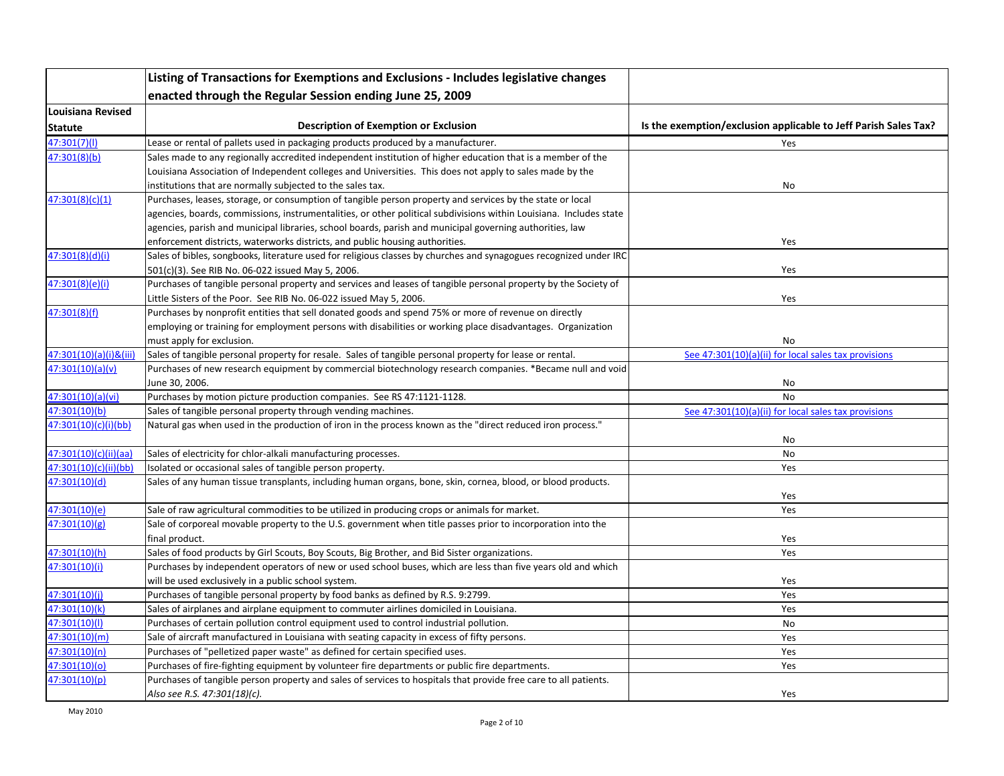|                          | Listing of Transactions for Exemptions and Exclusions - Includes legislative changes                               |                                                                 |
|--------------------------|--------------------------------------------------------------------------------------------------------------------|-----------------------------------------------------------------|
|                          | enacted through the Regular Session ending June 25, 2009                                                           |                                                                 |
| <b>Louisiana Revised</b> |                                                                                                                    |                                                                 |
| <b>Statute</b>           | <b>Description of Exemption or Exclusion</b>                                                                       | Is the exemption/exclusion applicable to Jeff Parish Sales Tax? |
| 47:301(7)(1)             | Lease or rental of pallets used in packaging products produced by a manufacturer.                                  | Yes                                                             |
| 47:301(8)(b)             | Sales made to any regionally accredited independent institution of higher education that is a member of the        |                                                                 |
|                          | Louisiana Association of Independent colleges and Universities. This does not apply to sales made by the           |                                                                 |
|                          | institutions that are normally subjected to the sales tax.                                                         | No                                                              |
| 47:301(8)(c)(1)          | Purchases, leases, storage, or consumption of tangible person property and services by the state or local          |                                                                 |
|                          | agencies, boards, commissions, instrumentalities, or other political subdivisions within Louisiana. Includes state |                                                                 |
|                          | agencies, parish and municipal libraries, school boards, parish and municipal governing authorities, law           |                                                                 |
|                          | enforcement districts, waterworks districts, and public housing authorities.                                       | Yes                                                             |
| 47:301(8)(d)(i)          | Sales of bibles, songbooks, literature used for religious classes by churches and synagogues recognized under IRC  |                                                                 |
|                          | 501(c)(3). See RIB No. 06-022 issued May 5, 2006.                                                                  | Yes                                                             |
| 47:301(8)(e)(i)          | Purchases of tangible personal property and services and leases of tangible personal property by the Society of    |                                                                 |
|                          | Little Sisters of the Poor. See RIB No. 06-022 issued May 5, 2006.                                                 | Yes                                                             |
| 47:301(8)(f)             | Purchases by nonprofit entities that sell donated goods and spend 75% or more of revenue on directly               |                                                                 |
|                          | employing or training for employment persons with disabilities or working place disadvantages. Organization        |                                                                 |
|                          | must apply for exclusion.                                                                                          | No                                                              |
| 47:301(10)(a)(i)&(iii)   | Sales of tangible personal property for resale. Sales of tangible personal property for lease or rental.           | See 47:301(10)(a)(ii) for local sales tax provisions            |
| 47:301(10)(a)(v)         | Purchases of new research equipment by commercial biotechnology research companies. *Became null and void          |                                                                 |
|                          | June 30, 2006.                                                                                                     | No                                                              |
| 47:301(10)(a)(vi)        | Purchases by motion picture production companies. See RS 47:1121-1128.                                             | <b>No</b>                                                       |
| 47:301(10)(b)            | Sales of tangible personal property through vending machines.                                                      | See 47:301(10)(a)(ii) for local sales tax provisions            |
| 47:301(10)(c)(i)(bb)     | Matural gas when used in the production of iron in the process known as the "direct reduced iron process."         | No                                                              |
| 47:301(10)(c)(ii)(aa)    | Sales of electricity for chlor-alkali manufacturing processes.                                                     | No                                                              |
| 47:301(10)(c)(ii)(bb)    | Isolated or occasional sales of tangible person property.                                                          | Yes                                                             |
| 47:301(10)(d)            | Sales of any human tissue transplants, including human organs, bone, skin, cornea, blood, or blood products.       |                                                                 |
|                          |                                                                                                                    | Yes                                                             |
| 47:301(10)(e)            | Sale of raw agricultural commodities to be utilized in producing crops or animals for market.                      | Yes                                                             |
| 47:301(10)(g)            | Sale of corporeal movable property to the U.S. government when title passes prior to incorporation into the        |                                                                 |
|                          | final product.                                                                                                     | Yes                                                             |
| 47:301(10)(h)            | Sales of food products by Girl Scouts, Boy Scouts, Big Brother, and Bid Sister organizations.                      | Yes                                                             |
| 47:301(10)(i)            | Purchases by independent operators of new or used school buses, which are less than five years old and which       |                                                                 |
|                          | will be used exclusively in a public school system.                                                                | Yes                                                             |
| 47:301(10)(i)            | Purchases of tangible personal property by food banks as defined by R.S. 9:2799.                                   | Yes                                                             |
| 47:301(10)(k)            | Sales of airplanes and airplane equipment to commuter airlines domiciled in Louisiana.                             | Yes                                                             |
| 47:301(10)(l)            | Purchases of certain pollution control equipment used to control industrial pollution.                             | No                                                              |
| 47:301(10)(m)            | Sale of aircraft manufactured in Louisiana with seating capacity in excess of fifty persons.                       | Yes                                                             |
| 47:301(10)(n)            | Purchases of "pelletized paper waste" as defined for certain specified uses.                                       | Yes                                                             |
| 47:301(10)(o)            | Purchases of fire-fighting equipment by volunteer fire departments or public fire departments.                     | Yes                                                             |
| 47:301(10)(p)            | Purchases of tangible person property and sales of services to hospitals that provide free care to all patients.   |                                                                 |
|                          | Also see R.S. 47:301(18)(c).                                                                                       | Yes                                                             |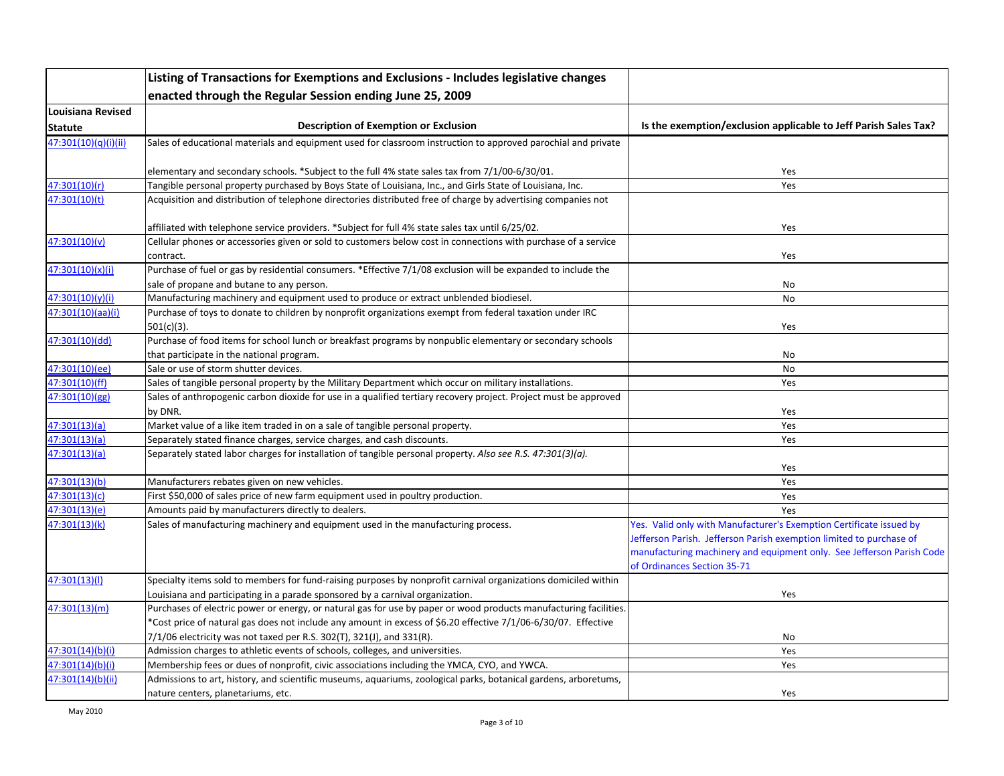|                      | Listing of Transactions for Exemptions and Exclusions - Includes legislative changes                              |                                                                       |
|----------------------|-------------------------------------------------------------------------------------------------------------------|-----------------------------------------------------------------------|
|                      | enacted through the Regular Session ending June 25, 2009                                                          |                                                                       |
| Louisiana Revised    |                                                                                                                   |                                                                       |
| Statute              | <b>Description of Exemption or Exclusion</b>                                                                      | Is the exemption/exclusion applicable to Jeff Parish Sales Tax?       |
| 47:301(10)(q)(i)(ii) | Sales of educational materials and equipment used for classroom instruction to approved parochial and private     |                                                                       |
|                      |                                                                                                                   |                                                                       |
|                      | elementary and secondary schools. *Subject to the full 4% state sales tax from 7/1/00-6/30/01.                    | Yes                                                                   |
| 47:301(10)(r)        | Tangible personal property purchased by Boys State of Louisiana, Inc., and Girls State of Louisiana, Inc.         | Yes                                                                   |
| 47:301(10)(t)        | Acquisition and distribution of telephone directories distributed free of charge by advertising companies not     |                                                                       |
|                      | affiliated with telephone service providers. *Subject for full 4% state sales tax until 6/25/02.                  | Yes                                                                   |
| 47:301(10)(v)        | Cellular phones or accessories given or sold to customers below cost in connections with purchase of a service    |                                                                       |
|                      | contract.                                                                                                         | Yes                                                                   |
| 47:301(10)(x)(i)     | Purchase of fuel or gas by residential consumers. *Effective 7/1/08 exclusion will be expanded to include the     |                                                                       |
|                      | sale of propane and butane to any person.                                                                         | No                                                                    |
| 47:301(10)(y)(i)     | Manufacturing machinery and equipment used to produce or extract unblended biodiesel.                             | No                                                                    |
| 47:301(10)(aa)(i)    | Purchase of toys to donate to children by nonprofit organizations exempt from federal taxation under IRC          |                                                                       |
|                      | $501(c)(3)$ .                                                                                                     | Yes                                                                   |
| 47:301(10)(dd)       | Purchase of food items for school lunch or breakfast programs by nonpublic elementary or secondary schools        |                                                                       |
|                      | that participate in the national program.                                                                         | No                                                                    |
| 47:301(10)(ee)       | Sale or use of storm shutter devices.                                                                             | No                                                                    |
| 47:301(10)(ff)       | Sales of tangible personal property by the Military Department which occur on military installations.             | Yes                                                                   |
| 47:301(10)(gg)       | Sales of anthropogenic carbon dioxide for use in a qualified tertiary recovery project. Project must be approved  |                                                                       |
|                      | by DNR.                                                                                                           | Yes                                                                   |
| 47:301(13)(a)        | Market value of a like item traded in on a sale of tangible personal property.                                    | Yes                                                                   |
| 47:301(13)(a)        | Separately stated finance charges, service charges, and cash discounts.                                           | Yes                                                                   |
| 47:301(13)(a)        | Separately stated labor charges for installation of tangible personal property. Also see R.S. 47:301(3)(a).       |                                                                       |
|                      |                                                                                                                   | Yes                                                                   |
| 47:301(13)(b)        | Manufacturers rebates given on new vehicles.                                                                      | Yes                                                                   |
| 47:301(13)(c)        | First \$50,000 of sales price of new farm equipment used in poultry production.                                   | Yes                                                                   |
| 47:301(13)(e)        | Amounts paid by manufacturers directly to dealers.                                                                | Yes                                                                   |
| 47:301(13)(k)        | Sales of manufacturing machinery and equipment used in the manufacturing process.                                 | Yes. Valid only with Manufacturer's Exemption Certificate issued by   |
|                      |                                                                                                                   | Jefferson Parish. Jefferson Parish exemption limited to purchase of   |
|                      |                                                                                                                   | manufacturing machinery and equipment only. See Jefferson Parish Code |
|                      |                                                                                                                   | of Ordinances Section 35-71                                           |
| 47:301(13)(l)        | Specialty items sold to members for fund-raising purposes by nonprofit carnival organizations domiciled within    |                                                                       |
|                      | Louisiana and participating in a parade sponsored by a carnival organization.                                     | Yes                                                                   |
| 47:301(13)(m)        | Purchases of electric power or energy, or natural gas for use by paper or wood products manufacturing facilities. |                                                                       |
|                      | *Cost price of natural gas does not include any amount in excess of \$6.20 effective 7/1/06-6/30/07. Effective    |                                                                       |
|                      | $7/1/06$ electricity was not taxed per R.S. 302(T), 321(J), and 331(R).                                           | No                                                                    |
| 47:301(14)(b)(i)     | Admission charges to athletic events of schools, colleges, and universities.                                      | Yes                                                                   |
| 47:301(14)(b)(i)     | Membership fees or dues of nonprofit, civic associations including the YMCA, CYO, and YWCA.                       | Yes                                                                   |
| 47:301(14)(b)(ii)    | Admissions to art, history, and scientific museums, aquariums, zoological parks, botanical gardens, arboretums,   |                                                                       |
|                      | nature centers, planetariums, etc.                                                                                | Yes                                                                   |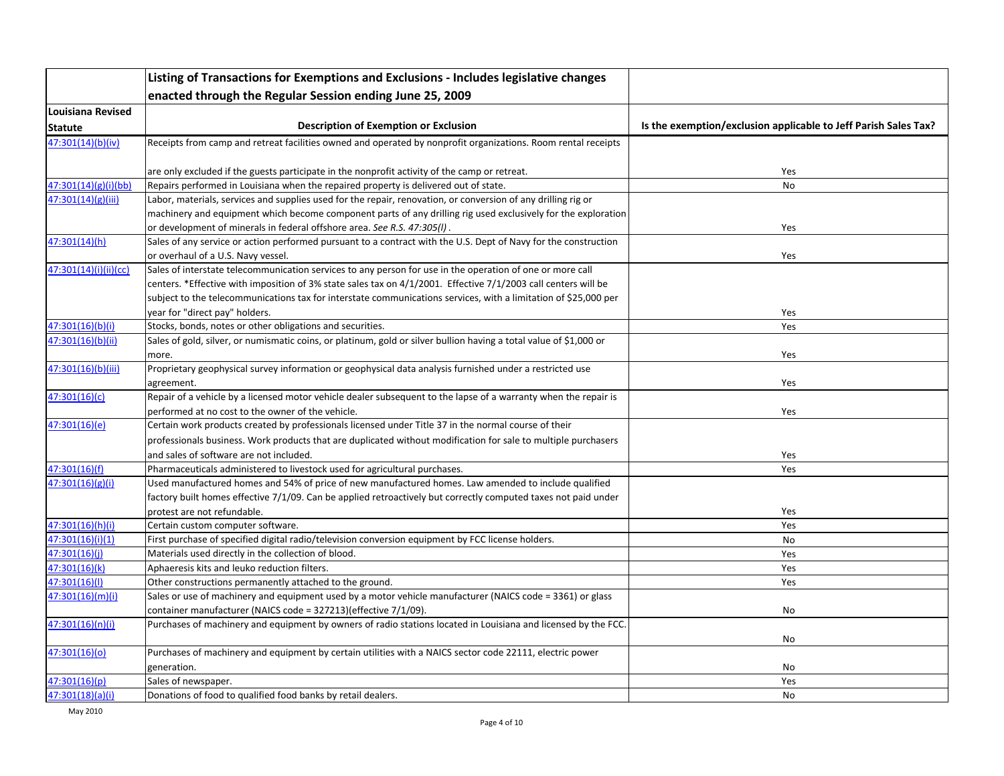|                          | Listing of Transactions for Exemptions and Exclusions - Includes legislative changes                               |                                                                 |
|--------------------------|--------------------------------------------------------------------------------------------------------------------|-----------------------------------------------------------------|
|                          | enacted through the Regular Session ending June 25, 2009                                                           |                                                                 |
| <b>Louisiana Revised</b> |                                                                                                                    |                                                                 |
| <b>Statute</b>           | <b>Description of Exemption or Exclusion</b>                                                                       | Is the exemption/exclusion applicable to Jeff Parish Sales Tax? |
| 47:301(14)(b)(iv)        | Receipts from camp and retreat facilities owned and operated by nonprofit organizations. Room rental receipts      |                                                                 |
|                          |                                                                                                                    |                                                                 |
|                          | are only excluded if the guests participate in the nonprofit activity of the camp or retreat.                      | Yes                                                             |
| 47:301(14)(g)(i)(bb)     | Repairs performed in Louisiana when the repaired property is delivered out of state.                               | No                                                              |
| 47:301(14)(g)(iii)       | Labor, materials, services and supplies used for the repair, renovation, or conversion of any drilling rig or      |                                                                 |
|                          | machinery and equipment which become component parts of any drilling rig used exclusively for the exploration      |                                                                 |
|                          | or development of minerals in federal offshore area. See R.S. 47:305(I).                                           | Yes                                                             |
| 47:301(14)(h)            | Sales of any service or action performed pursuant to a contract with the U.S. Dept of Navy for the construction    |                                                                 |
|                          | or overhaul of a U.S. Navy vessel.                                                                                 | Yes                                                             |
| 47:301(14)(i)(ii)(cc)    | Sales of interstate telecommunication services to any person for use in the operation of one or more call          |                                                                 |
|                          | centers. *Effective with imposition of 3% state sales tax on 4/1/2001. Effective 7/1/2003 call centers will be     |                                                                 |
|                          | subject to the telecommunications tax for interstate communications services, with a limitation of \$25,000 per    |                                                                 |
|                          | year for "direct pay" holders.                                                                                     | Yes                                                             |
| 47:301(16)(b)(i)         | Stocks, bonds, notes or other obligations and securities.                                                          | Yes                                                             |
| 47:301(16)(b)(ii)        | Sales of gold, silver, or numismatic coins, or platinum, gold or silver bullion having a total value of \$1,000 or |                                                                 |
|                          | more.                                                                                                              | Yes                                                             |
| 47:301(16)(b)(iii)       | Proprietary geophysical survey information or geophysical data analysis furnished under a restricted use           |                                                                 |
|                          | agreement.                                                                                                         | Yes                                                             |
| 47:301(16)(c)            | Repair of a vehicle by a licensed motor vehicle dealer subsequent to the lapse of a warranty when the repair is    |                                                                 |
|                          | performed at no cost to the owner of the vehicle.                                                                  | Yes                                                             |
| 47:301(16)(e)            | Certain work products created by professionals licensed under Title 37 in the normal course of their               |                                                                 |
|                          | professionals business. Work products that are duplicated without modification for sale to multiple purchasers     |                                                                 |
|                          | and sales of software are not included.                                                                            | Yes                                                             |
| 47:301(16)(f)            | Pharmaceuticals administered to livestock used for agricultural purchases.                                         | Yes                                                             |
| 47:301(16)(g)(i)         | Used manufactured homes and 54% of price of new manufactured homes. Law amended to include qualified               |                                                                 |
|                          | factory built homes effective 7/1/09. Can be applied retroactively but correctly computed taxes not paid under     |                                                                 |
| 47:301(16)(h)(i)         | protest are not refundable.<br>Certain custom computer software.                                                   | Yes<br>Yes                                                      |
| 47:301(16)(i)(1)         | First purchase of specified digital radio/television conversion equipment by FCC license holders.                  | No                                                              |
| 47:301(16)(i)            | Materials used directly in the collection of blood.                                                                | Yes                                                             |
| 47:301(16)(k)            | Aphaeresis kits and leuko reduction filters.                                                                       | Yes                                                             |
| 47:301(16)(l)            | Other constructions permanently attached to the ground.                                                            | Yes                                                             |
| 47:301(16)(m)(i)         | Sales or use of machinery and equipment used by a motor vehicle manufacturer (NAICS code = 3361) or glass          |                                                                 |
|                          | container manufacturer (NAICS code = 327213)(effective 7/1/09).                                                    | No                                                              |
| 47:301(16)(n)(i)         | Purchases of machinery and equipment by owners of radio stations located in Louisiana and licensed by the FCC.     |                                                                 |
|                          |                                                                                                                    | No                                                              |
| 47:301(16)(o)            | Purchases of machinery and equipment by certain utilities with a NAICS sector code 22111, electric power           |                                                                 |
|                          | generation.                                                                                                        | No                                                              |
| 47:301(16)(p)            | Sales of newspaper.                                                                                                | Yes                                                             |
| 47:301(18)(a)(i)         | Donations of food to qualified food banks by retail dealers.                                                       | No                                                              |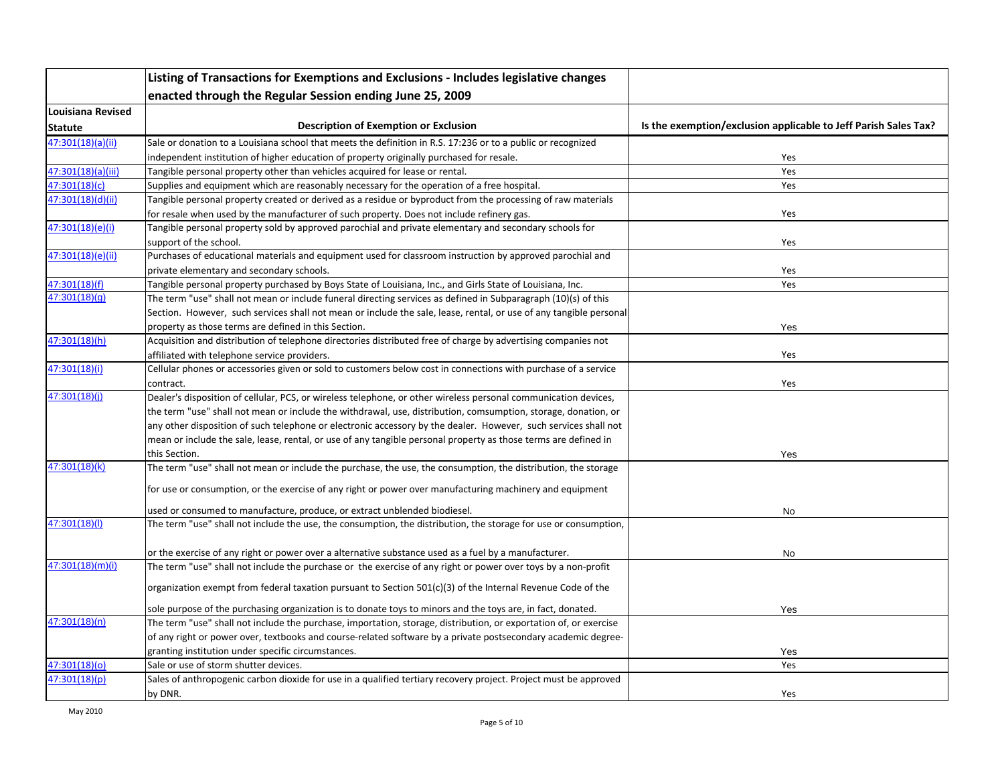|                    | Listing of Transactions for Exemptions and Exclusions - Includes legislative changes                               |                                                                 |
|--------------------|--------------------------------------------------------------------------------------------------------------------|-----------------------------------------------------------------|
|                    | enacted through the Regular Session ending June 25, 2009                                                           |                                                                 |
| Louisiana Revised  |                                                                                                                    |                                                                 |
| <b>Statute</b>     | <b>Description of Exemption or Exclusion</b>                                                                       | Is the exemption/exclusion applicable to Jeff Parish Sales Tax? |
| 47:301(18)(a)(ii)  | Sale or donation to a Louisiana school that meets the definition in R.S. 17:236 or to a public or recognized       |                                                                 |
|                    | independent institution of higher education of property originally purchased for resale.                           | Yes                                                             |
| 47:301(18)(a)(iii) | Tangible personal property other than vehicles acquired for lease or rental.                                       | Yes                                                             |
| 47:301(18)(c)      | Supplies and equipment which are reasonably necessary for the operation of a free hospital.                        | Yes                                                             |
| 47:301(18)(d)(ii)  | Tangible personal property created or derived as a residue or byproduct from the processing of raw materials       |                                                                 |
|                    | for resale when used by the manufacturer of such property. Does not include refinery gas.                          | Yes                                                             |
| 47:301(18)(e)(i)   | Tangible personal property sold by approved parochial and private elementary and secondary schools for             |                                                                 |
|                    | support of the school.                                                                                             | Yes                                                             |
| 47:301(18)(e)(ii)  | Purchases of educational materials and equipment used for classroom instruction by approved parochial and          |                                                                 |
|                    | private elementary and secondary schools.                                                                          | Yes                                                             |
| 47:301(18)(f)      | Tangible personal property purchased by Boys State of Louisiana, Inc., and Girls State of Louisiana, Inc.          | Yes                                                             |
| 47:301(18)(q)      | The term "use" shall not mean or include funeral directing services as defined in Subparagraph (10)(s) of this     |                                                                 |
|                    | Section. However, such services shall not mean or include the sale, lease, rental, or use of any tangible personal |                                                                 |
|                    | property as those terms are defined in this Section.                                                               | Yes                                                             |
| 47:301(18)(h)      | Acquisition and distribution of telephone directories distributed free of charge by advertising companies not      |                                                                 |
|                    | affiliated with telephone service providers.                                                                       | Yes                                                             |
| 47:301(18)(i)      | Cellular phones or accessories given or sold to customers below cost in connections with purchase of a service     |                                                                 |
|                    | contract.                                                                                                          | Yes                                                             |
| 47:301(18)(i)      | Dealer's disposition of cellular, PCS, or wireless telephone, or other wireless personal communication devices,    |                                                                 |
|                    | the term "use" shall not mean or include the withdrawal, use, distribution, comsumption, storage, donation, or     |                                                                 |
|                    | any other disposition of such telephone or electronic accessory by the dealer. However, such services shall not    |                                                                 |
|                    | mean or include the sale, lease, rental, or use of any tangible personal property as those terms are defined in    |                                                                 |
|                    | this Section.                                                                                                      | Yes                                                             |
| 47:301(18)(k)      | The term "use" shall not mean or include the purchase, the use, the consumption, the distribution, the storage     |                                                                 |
|                    | for use or consumption, or the exercise of any right or power over manufacturing machinery and equipment           |                                                                 |
|                    | used or consumed to manufacture, produce, or extract unblended biodiesel.                                          | No                                                              |
| 47:301(18)(I)      | The term "use" shall not include the use, the consumption, the distribution, the storage for use or consumption,   |                                                                 |
|                    |                                                                                                                    |                                                                 |
|                    | or the exercise of any right or power over a alternative substance used as a fuel by a manufacturer.               | No                                                              |
| 47:301(18)(m)(i)   | The term "use" shall not include the purchase or the exercise of any right or power over toys by a non-profit      |                                                                 |
|                    | organization exempt from federal taxation pursuant to Section 501(c)(3) of the Internal Revenue Code of the        |                                                                 |
|                    | sole purpose of the purchasing organization is to donate toys to minors and the toys are, in fact, donated.        | Yes                                                             |
| 47:301(18)(n)      | The term "use" shall not include the purchase, importation, storage, distribution, or exportation of, or exercise  |                                                                 |
|                    | of any right or power over, textbooks and course-related software by a private postsecondary academic degree-      |                                                                 |
|                    | granting institution under specific circumstances.                                                                 | Yes                                                             |
| 47:301(18)(o)      | Sale or use of storm shutter devices.                                                                              | Yes                                                             |
| 47:301(18)(p)      | Sales of anthropogenic carbon dioxide for use in a qualified tertiary recovery project. Project must be approved   |                                                                 |
|                    | by DNR.                                                                                                            | Yes                                                             |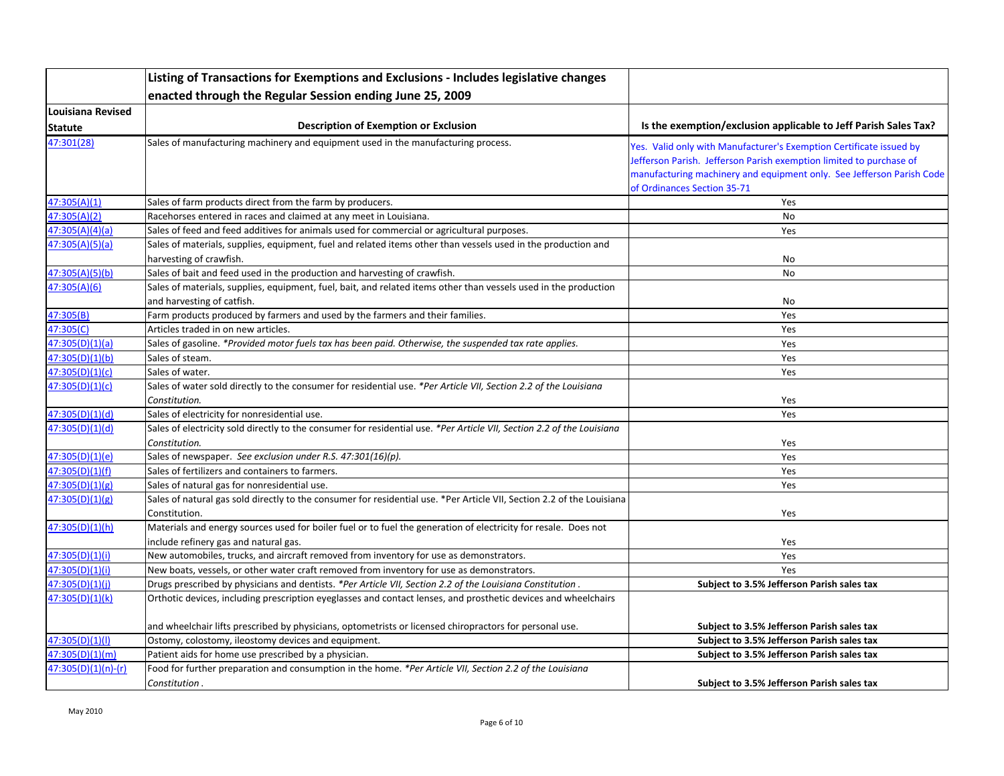|                       | Listing of Transactions for Exemptions and Exclusions - Includes legislative changes                                   |                                                                       |
|-----------------------|------------------------------------------------------------------------------------------------------------------------|-----------------------------------------------------------------------|
|                       | enacted through the Regular Session ending June 25, 2009                                                               |                                                                       |
| Louisiana Revised     |                                                                                                                        |                                                                       |
| Statute               | <b>Description of Exemption or Exclusion</b>                                                                           | Is the exemption/exclusion applicable to Jeff Parish Sales Tax?       |
| 47:301(28)            | Sales of manufacturing machinery and equipment used in the manufacturing process.                                      | Yes. Valid only with Manufacturer's Exemption Certificate issued by   |
|                       |                                                                                                                        | Jefferson Parish. Jefferson Parish exemption limited to purchase of   |
|                       |                                                                                                                        | manufacturing machinery and equipment only. See Jefferson Parish Code |
|                       |                                                                                                                        | of Ordinances Section 35-71                                           |
| 47:305(A)(1)          | Sales of farm products direct from the farm by producers.                                                              | Yes                                                                   |
| 47:305(A)(2)          | Racehorses entered in races and claimed at any meet in Louisiana.                                                      | No                                                                    |
| 47:305(A)(4)(a)       | Sales of feed and feed additives for animals used for commercial or agricultural purposes.                             | Yes                                                                   |
| 47:305(A)(5)(a)       | Sales of materials, supplies, equipment, fuel and related items other than vessels used in the production and          |                                                                       |
|                       | harvesting of crawfish.                                                                                                | No                                                                    |
| 47:305(A)(5)(b)       | Sales of bait and feed used in the production and harvesting of crawfish.                                              | No                                                                    |
| 47:305(A)(6)          | Sales of materials, supplies, equipment, fuel, bait, and related items other than vessels used in the production       |                                                                       |
|                       | and harvesting of catfish.                                                                                             | No                                                                    |
| 47:305(B)             | Farm products produced by farmers and used by the farmers and their families.                                          | Yes                                                                   |
| 47:305(C)             | Articles traded in on new articles.                                                                                    | Yes                                                                   |
| 47:305(D)(1)(a)       | Sales of gasoline. *Provided motor fuels tax has been paid. Otherwise, the suspended tax rate applies.                 | Yes                                                                   |
| 47:305(D)(1)(b)       | Sales of steam.                                                                                                        | Yes                                                                   |
| 47:305(D)(1)(c)       | Sales of water.                                                                                                        | Yes                                                                   |
| 47:305(D)(1)(c)       | Sales of water sold directly to the consumer for residential use. *Per Article VII, Section 2.2 of the Louisiana       |                                                                       |
|                       | Constitution.                                                                                                          | Yes                                                                   |
| 47:305(D)(1)(d)       | Sales of electricity for nonresidential use.                                                                           | Yes                                                                   |
| 47:305(D)(1)(d)       | Sales of electricity sold directly to the consumer for residential use. *Per Article VII, Section 2.2 of the Louisiana |                                                                       |
|                       | Constitution.                                                                                                          | Yes                                                                   |
| 47:305(D)(1)(e)       | Sales of newspaper. See exclusion under R.S. 47:301(16)(p).                                                            | Yes                                                                   |
| 47:305(D)(1)(f)       | Sales of fertilizers and containers to farmers.                                                                        | Yes                                                                   |
| 47:305(D)(1)(g)       | Sales of natural gas for nonresidential use.                                                                           | Yes                                                                   |
| 47:305(D)(1)(g)       | Sales of natural gas sold directly to the consumer for residential use. *Per Article VII, Section 2.2 of the Louisiana |                                                                       |
|                       | Constitution.                                                                                                          | Yes                                                                   |
| 47:305(D)(1)(h)       | Materials and energy sources used for boiler fuel or to fuel the generation of electricity for resale. Does not        |                                                                       |
|                       | include refinery gas and natural gas.                                                                                  | Yes                                                                   |
| 47:305(D)(1)(i)       | New automobiles, trucks, and aircraft removed from inventory for use as demonstrators.                                 | Yes                                                                   |
| 47:305(D)(1)(i)       | New boats, vessels, or other water craft removed from inventory for use as demonstrators.                              | Yes                                                                   |
| 47:305(D)(1)(i)       | Drugs prescribed by physicians and dentists. *Per Article VII, Section 2.2 of the Louisiana Constitution.              | Subject to 3.5% Jefferson Parish sales tax                            |
| 47:305(D)(1)(k)       | Orthotic devices, including prescription eyeglasses and contact lenses, and prosthetic devices and wheelchairs         |                                                                       |
|                       | and wheelchair lifts prescribed by physicians, optometrists or licensed chiropractors for personal use.                | Subject to 3.5% Jefferson Parish sales tax                            |
| 47:305(D)(1)(1)       | Ostomy, colostomy, ileostomy devices and equipment.                                                                    | Subject to 3.5% Jefferson Parish sales tax                            |
| 47:305(D)(1)(m)       | Patient aids for home use prescribed by a physician.                                                                   | Subject to 3.5% Jefferson Parish sales tax                            |
| $47:305(D)(1)(n)-(r)$ | Food for further preparation and consumption in the home. *Per Article VII, Section 2.2 of the Louisiana               |                                                                       |
|                       | Constitution.                                                                                                          | Subject to 3.5% Jefferson Parish sales tax                            |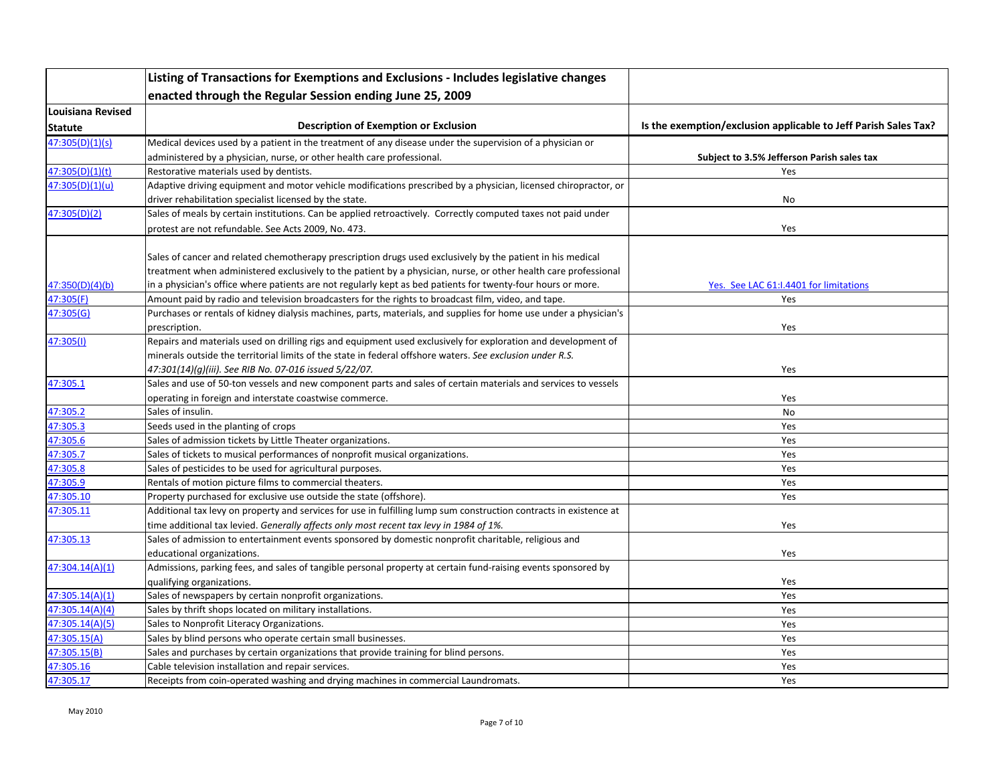|                          | Listing of Transactions for Exemptions and Exclusions - Includes legislative changes                               |                                                                 |
|--------------------------|--------------------------------------------------------------------------------------------------------------------|-----------------------------------------------------------------|
|                          | enacted through the Regular Session ending June 25, 2009                                                           |                                                                 |
| <b>Louisiana Revised</b> |                                                                                                                    |                                                                 |
| Statute                  | <b>Description of Exemption or Exclusion</b>                                                                       | Is the exemption/exclusion applicable to Jeff Parish Sales Tax? |
| 47:305(D)(1)(s)          | Medical devices used by a patient in the treatment of any disease under the supervision of a physician or          |                                                                 |
|                          | administered by a physician, nurse, or other health care professional.                                             | Subject to 3.5% Jefferson Parish sales tax                      |
| 47:305(D)(1)(t)          | Restorative materials used by dentists.                                                                            | Yes                                                             |
| 47:305(D)(1)(u)          | Adaptive driving equipment and motor vehicle modifications prescribed by a physician, licensed chiropractor, or    |                                                                 |
|                          | driver rehabilitation specialist licensed by the state.                                                            | No                                                              |
| 47:305(D)(2)             | Sales of meals by certain institutions. Can be applied retroactively. Correctly computed taxes not paid under      |                                                                 |
|                          | protest are not refundable. See Acts 2009, No. 473.                                                                | Yes                                                             |
|                          |                                                                                                                    |                                                                 |
|                          | Sales of cancer and related chemotherapy prescription drugs used exclusively by the patient in his medical         |                                                                 |
|                          | treatment when administered exclusively to the patient by a physician, nurse, or other health care professional    |                                                                 |
| 47:350(D)(4)(b)          | in a physician's office where patients are not regularly kept as bed patients for twenty-four hours or more.       | Yes. See LAC 61:1.4401 for limitations                          |
| 47:305(F)                | Amount paid by radio and television broadcasters for the rights to broadcast film, video, and tape.                | Yes                                                             |
| 47:305(G)                | Purchases or rentals of kidney dialysis machines, parts, materials, and supplies for home use under a physician's  |                                                                 |
|                          | prescription.                                                                                                      | Yes                                                             |
| 47:305(1)                | Repairs and materials used on drilling rigs and equipment used exclusively for exploration and development of      |                                                                 |
|                          | minerals outside the territorial limits of the state in federal offshore waters. See exclusion under R.S.          |                                                                 |
|                          | 47:301(14)(g)(iii). See RIB No. 07-016 issued 5/22/07.                                                             | Yes                                                             |
| 47:305.1                 | Sales and use of 50-ton vessels and new component parts and sales of certain materials and services to vessels     |                                                                 |
|                          | operating in foreign and interstate coastwise commerce.                                                            | Yes                                                             |
| 47:305.2                 | Sales of insulin.                                                                                                  | No                                                              |
| 47:305.3                 | Seeds used in the planting of crops                                                                                | Yes                                                             |
| 47:305.6                 | Sales of admission tickets by Little Theater organizations.                                                        | Yes                                                             |
| 47:305.7                 | Sales of tickets to musical performances of nonprofit musical organizations.                                       | Yes                                                             |
| 47:305.8                 | Sales of pesticides to be used for agricultural purposes.                                                          | Yes                                                             |
| 47:305.9                 | Rentals of motion picture films to commercial theaters.                                                            | Yes                                                             |
| 47:305.10                | Property purchased for exclusive use outside the state (offshore).                                                 | Yes                                                             |
| 47:305.11                | Additional tax levy on property and services for use in fulfilling lump sum construction contracts in existence at |                                                                 |
|                          | time additional tax levied. Generally affects only most recent tax levy in 1984 of 1%.                             | Yes                                                             |
| 47:305.13                | Sales of admission to entertainment events sponsored by domestic nonprofit charitable, religious and               |                                                                 |
|                          | educational organizations.                                                                                         | Yes                                                             |
| 47:304.14(A)(1)          | Admissions, parking fees, and sales of tangible personal property at certain fund-raising events sponsored by      |                                                                 |
|                          | qualifying organizations.                                                                                          | Yes                                                             |
| 47:305.14(A)(1)          | Sales of newspapers by certain nonprofit organizations.                                                            | Yes                                                             |
| 47:305.14(A)(4)          | Sales by thrift shops located on military installations.                                                           | Yes                                                             |
| 47:305.14(A)(5)          | Sales to Nonprofit Literacy Organizations.                                                                         | Yes                                                             |
| 47:305.15(A)             | Sales by blind persons who operate certain small businesses.                                                       | Yes                                                             |
| 47:305.15(B)             | Sales and purchases by certain organizations that provide training for blind persons.                              | Yes                                                             |
| 47:305.16                | Cable television installation and repair services.                                                                 | Yes                                                             |
| 47:305.17                | Receipts from coin-operated washing and drying machines in commercial Laundromats.                                 | Yes                                                             |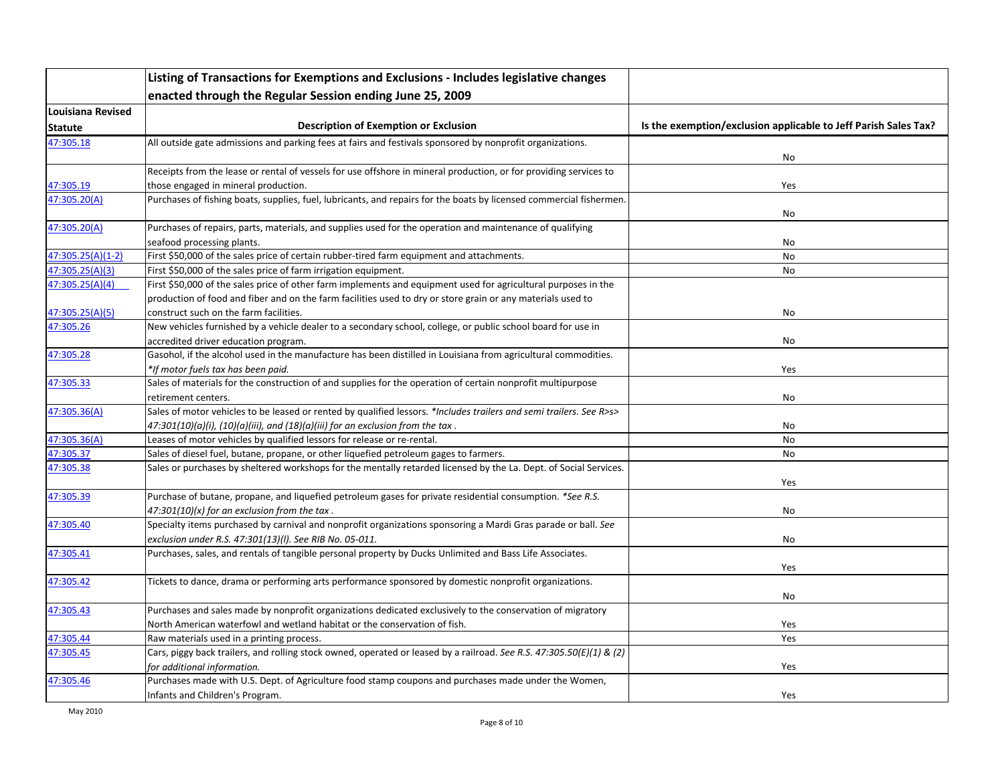|                   | Listing of Transactions for Exemptions and Exclusions - Includes legislative changes                                 |                                                                 |
|-------------------|----------------------------------------------------------------------------------------------------------------------|-----------------------------------------------------------------|
|                   | enacted through the Regular Session ending June 25, 2009                                                             |                                                                 |
| Louisiana Revised |                                                                                                                      |                                                                 |
| <b>Statute</b>    | <b>Description of Exemption or Exclusion</b>                                                                         | Is the exemption/exclusion applicable to Jeff Parish Sales Tax? |
| 47:305.18         | All outside gate admissions and parking fees at fairs and festivals sponsored by nonprofit organizations.            |                                                                 |
|                   |                                                                                                                      | No                                                              |
|                   | Receipts from the lease or rental of vessels for use offshore in mineral production, or for providing services to    |                                                                 |
| 47:305.19         | those engaged in mineral production.                                                                                 | Yes                                                             |
| 47:305.20(A)      | Purchases of fishing boats, supplies, fuel, lubricants, and repairs for the boats by licensed commercial fishermen.  |                                                                 |
|                   |                                                                                                                      | No                                                              |
| 47:305.20(A)      | Purchases of repairs, parts, materials, and supplies used for the operation and maintenance of qualifying            |                                                                 |
|                   | seafood processing plants.                                                                                           | No                                                              |
| 47:305.25(A)(1-2) | First \$50,000 of the sales price of certain rubber-tired farm equipment and attachments.                            | No                                                              |
| 47:305.25(A)(3)   | First \$50,000 of the sales price of farm irrigation equipment.                                                      | No                                                              |
| 47:305.25(A)(4)   | First \$50,000 of the sales price of other farm implements and equipment used for agricultural purposes in the       |                                                                 |
|                   | production of food and fiber and on the farm facilities used to dry or store grain or any materials used to          |                                                                 |
| 47:305.25(A)(5)   | construct such on the farm facilities.                                                                               | No                                                              |
| 47:305.26         | New vehicles furnished by a vehicle dealer to a secondary school, college, or public school board for use in         |                                                                 |
|                   | accredited driver education program.                                                                                 | No                                                              |
| 47:305.28         | Gasohol, if the alcohol used in the manufacture has been distilled in Louisiana from agricultural commodities.       |                                                                 |
|                   | *If motor fuels tax has been paid.                                                                                   | Yes                                                             |
| 47:305.33         | Sales of materials for the construction of and supplies for the operation of certain nonprofit multipurpose          |                                                                 |
|                   | retirement centers.                                                                                                  | No                                                              |
| 47:305.36(A)      | Sales of motor vehicles to be leased or rented by qualified lessors. *Includes trailers and semi trailers. See R>s>  |                                                                 |
|                   | $47:301(10)(a)(i)$ , $(10)(a)(iii)$ , and $(18)(a)(iii)$ for an exclusion from the tax.                              | No                                                              |
| 47:305.36(A)      | Leases of motor vehicles by qualified lessors for release or re-rental.                                              | No                                                              |
| 47:305.37         | Sales of diesel fuel, butane, propane, or other liquefied petroleum gages to farmers.                                | No                                                              |
| 47:305.38         | Sales or purchases by sheltered workshops for the mentally retarded licensed by the La. Dept. of Social Services.    |                                                                 |
| 47:305.39         | Purchase of butane, propane, and liquefied petroleum gases for private residential consumption. *See R.S.            | Yes                                                             |
|                   | $47:301(10)(x)$ for an exclusion from the tax.                                                                       | No                                                              |
| 47:305.40         | Specialty items purchased by carnival and nonprofit organizations sponsoring a Mardi Gras parade or ball. See        |                                                                 |
|                   | exclusion under R.S. 47:301(13)(I). See RIB No. 05-011.                                                              | No                                                              |
| 47:305.41         | Purchases, sales, and rentals of tangible personal property by Ducks Unlimited and Bass Life Associates.             |                                                                 |
|                   |                                                                                                                      | Yes                                                             |
| 47:305.42         | Tickets to dance, drama or performing arts performance sponsored by domestic nonprofit organizations.                |                                                                 |
|                   |                                                                                                                      | No                                                              |
| 47:305.43         | Purchases and sales made by nonprofit organizations dedicated exclusively to the conservation of migratory           |                                                                 |
|                   | North American waterfowl and wetland habitat or the conservation of fish.                                            | Yes                                                             |
| 47:305.44         | Raw materials used in a printing process.                                                                            | Yes                                                             |
| 47:305.45         | Cars, piggy back trailers, and rolling stock owned, operated or leased by a railroad. See R.S. 47:305.50(E)(1) & (2) |                                                                 |
|                   | for additional information.                                                                                          | Yes                                                             |
| 47:305.46         | Purchases made with U.S. Dept. of Agriculture food stamp coupons and purchases made under the Women,                 |                                                                 |
|                   | Infants and Children's Program.                                                                                      | Yes                                                             |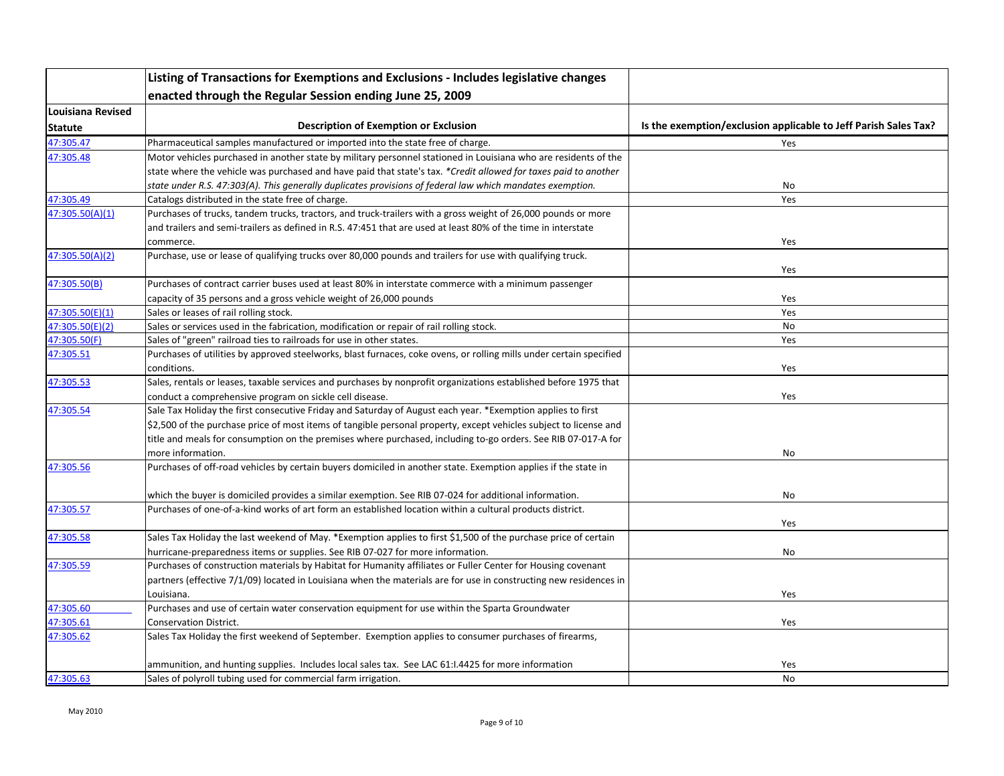|                   | Listing of Transactions for Exemptions and Exclusions - Includes legislative changes                                |                                                                 |
|-------------------|---------------------------------------------------------------------------------------------------------------------|-----------------------------------------------------------------|
|                   | enacted through the Regular Session ending June 25, 2009                                                            |                                                                 |
| Louisiana Revised |                                                                                                                     |                                                                 |
| <b>Statute</b>    | <b>Description of Exemption or Exclusion</b>                                                                        | Is the exemption/exclusion applicable to Jeff Parish Sales Tax? |
| 47:305.47         | Pharmaceutical samples manufactured or imported into the state free of charge.                                      | Yes                                                             |
| 47:305.48         | Motor vehicles purchased in another state by military personnel stationed in Louisiana who are residents of the     |                                                                 |
|                   | state where the vehicle was purchased and have paid that state's tax. *Credit allowed for taxes paid to another     |                                                                 |
|                   | state under R.S. 47:303(A). This generally duplicates provisions of federal law which mandates exemption.           | No                                                              |
| 47:305.49         | Catalogs distributed in the state free of charge.                                                                   | Yes                                                             |
| 47:305.50(A)(1)   | Purchases of trucks, tandem trucks, tractors, and truck-trailers with a gross weight of 26,000 pounds or more       |                                                                 |
|                   | and trailers and semi-trailers as defined in R.S. 47:451 that are used at least 80% of the time in interstate       |                                                                 |
|                   | commerce.                                                                                                           | Yes                                                             |
| 47:305.50(A)(2)   | Purchase, use or lease of qualifying trucks over 80,000 pounds and trailers for use with qualifying truck.          |                                                                 |
|                   |                                                                                                                     | Yes                                                             |
| 47:305.50(B)      | Purchases of contract carrier buses used at least 80% in interstate commerce with a minimum passenger               |                                                                 |
|                   | capacity of 35 persons and a gross vehicle weight of 26,000 pounds                                                  | Yes                                                             |
| 47:305.50(E)(1)   | Sales or leases of rail rolling stock.                                                                              | Yes                                                             |
| 47:305.50(E)(2)   | Sales or services used in the fabrication, modification or repair of rail rolling stock.                            | No                                                              |
| 47:305.50(F)      | Sales of "green" railroad ties to railroads for use in other states.                                                | Yes                                                             |
| 47:305.51         | Purchases of utilities by approved steelworks, blast furnaces, coke ovens, or rolling mills under certain specified |                                                                 |
|                   | conditions.                                                                                                         | Yes                                                             |
| 47:305.53         | Sales, rentals or leases, taxable services and purchases by nonprofit organizations established before 1975 that    |                                                                 |
|                   | conduct a comprehensive program on sickle cell disease.                                                             | Yes                                                             |
| 47:305.54         | Sale Tax Holiday the first consecutive Friday and Saturday of August each year. *Exemption applies to first         |                                                                 |
|                   | \$2,500 of the purchase price of most items of tangible personal property, except vehicles subject to license and   |                                                                 |
|                   | title and meals for consumption on the premises where purchased, including to-go orders. See RIB 07-017-A for       |                                                                 |
|                   | more information.                                                                                                   | No                                                              |
| 47:305.56         | Purchases of off-road vehicles by certain buyers domiciled in another state. Exemption applies if the state in      |                                                                 |
|                   |                                                                                                                     |                                                                 |
|                   | which the buyer is domiciled provides a similar exemption. See RIB 07-024 for additional information.               | No                                                              |
| 47:305.57         | Purchases of one-of-a-kind works of art form an established location within a cultural products district.           |                                                                 |
|                   |                                                                                                                     | Yes                                                             |
| 47:305.58         | Sales Tax Holiday the last weekend of May. *Exemption applies to first \$1,500 of the purchase price of certain     |                                                                 |
|                   | hurricane-preparedness items or supplies. See RIB 07-027 for more information.                                      | No                                                              |
| 47:305.59         | Purchases of construction materials by Habitat for Humanity affiliates or Fuller Center for Housing covenant        |                                                                 |
|                   | partners (effective 7/1/09) located in Louisiana when the materials are for use in constructing new residences in   |                                                                 |
|                   | Louisiana.                                                                                                          | Yes                                                             |
| 47:305.60         | Purchases and use of certain water conservation equipment for use within the Sparta Groundwater                     |                                                                 |
| 47:305.61         | Conservation District.                                                                                              | Yes                                                             |
| 47:305.62         | Sales Tax Holiday the first weekend of September. Exemption applies to consumer purchases of firearms,              |                                                                 |
|                   |                                                                                                                     |                                                                 |
|                   | ammunition, and hunting supplies. Includes local sales tax. See LAC 61:1.4425 for more information                  | Yes                                                             |
| 47:305.63         | Sales of polyroll tubing used for commercial farm irrigation.                                                       | No                                                              |